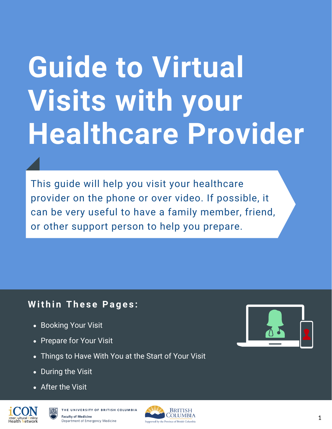# **Guide to Virtual Visits with your Healthcare Provider**

This guide will help you visit your healthcare provider on the phone or over video. If possible, it can be very useful to have a family member, friend, or other support person to help you prepare.

## **W it h i n Th e s e Pa g e s :**

- Booking Your Visit
- Prepare for Your Visit
- Things to Have With You at the Start of Your Visit
- During the Visit
- After the Visit





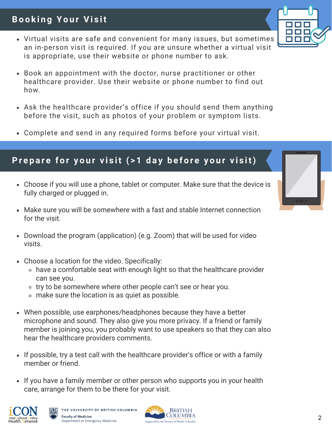#### 2

## **Bo o k i n g Yo u r Vi s it**

- Virtual visits are safe and convenient for many issues, but sometimes an in-person visit is required. If you are unsure whether a virtual visit is appropriate, use their website or phone number to ask.
- Book an appointment with the doctor, nurse practitioner or other healthcare provider. Use their website or phone number to find out how.
- Ask the healthcare provider's office if you should send them anything before the visit, such as photos of your problem or symptom lists.
- Complete and send in any required forms before your virtual visit.

## Prepare for your visit (>1 day before your visit)

- Choose if you will use a phone, tablet or computer. Make sure that the device is fully charged or plugged in.
- Make sure you will be somewhere with a fast and stable Internet connection for the visit.
- Download the program (application) (e.g. Zoom) that will be used for video visits.
- Choose a location for the video. Specifically:
	- have a comfortable seat with enough light so that the healthcare provider can see you.
	- o try to be somewhere where other people can't see or hear you.
	- make sure the location is as quiet as possible.
- When possible, use earphones/headphones because they have a better microphone and sound. They also give you more privacy. If a friend or family member is joining you, you probably want to use speakers so that they can also hear the healthcare providers comments.
- If possible, try a test call with the healthcare provider's office or with a family member or friend.
- If you have a family member or other person who supports you in your health care, arrange for them to be there for your visit.